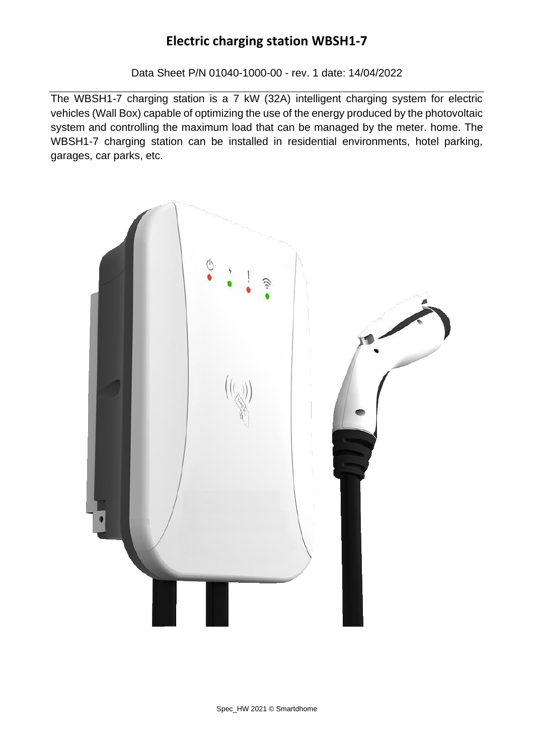Data Sheet P/N 01040-1000-00 - rev. 1 date: 14/04/2022

The WBSH1-7 charging station is a 7 kW (32A) intelligent charging system for electric vehicles (Wall Box) capable of optimizing the use of the energy produced by the photovoltaic system and controlling the maximum load that can be managed by the meter. home. The WBSH1-7 charging station can be installed in residential environments, hotel parking, garages, car parks, etc.

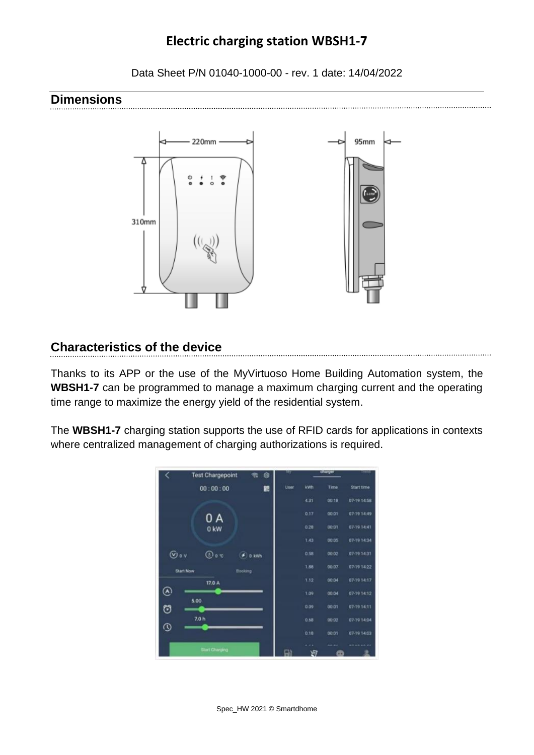Data Sheet P/N 01040-1000-00 - rev. 1 date: 14/04/2022

#### **Dimensions**



### **Characteristics of the device**

Thanks to its APP or the use of the MyVirtuoso Home Building Automation system, the **WBSH1-7** can be programmed to manage a maximum charging current and the operating time range to maximize the energy yield of the residential system.

The **WBSH1-7** charging station supports the use of RFID cards for applications in contexts where centralized management of charging authorizations is required.

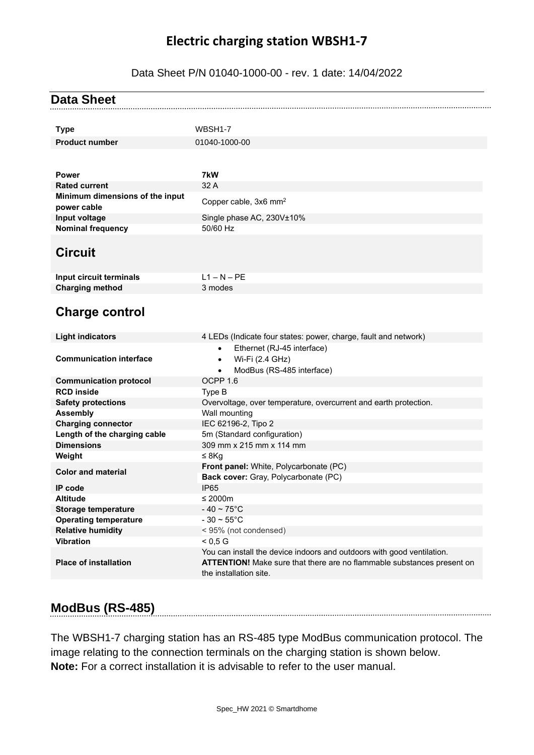#### Data Sheet P/N 01040-1000-00 - rev. 1 date: 14/04/2022

| <b>Data Sheet</b>                         |                                                                                                                                                                            |
|-------------------------------------------|----------------------------------------------------------------------------------------------------------------------------------------------------------------------------|
|                                           | WBSH1-7                                                                                                                                                                    |
| <b>Type</b>                               |                                                                                                                                                                            |
| <b>Product number</b>                     | 01040-1000-00                                                                                                                                                              |
|                                           |                                                                                                                                                                            |
| <b>Power</b>                              | 7kW                                                                                                                                                                        |
| <b>Rated current</b>                      | 32 A                                                                                                                                                                       |
| Minimum dimensions of the input           | Copper cable, 3x6 mm <sup>2</sup>                                                                                                                                          |
| power cable                               |                                                                                                                                                                            |
| Input voltage<br><b>Nominal frequency</b> | Single phase AC, 230V±10%<br>50/60 Hz                                                                                                                                      |
|                                           |                                                                                                                                                                            |
| <b>Circuit</b>                            |                                                                                                                                                                            |
| Input circuit terminals                   | $L1 - N - PE$                                                                                                                                                              |
| <b>Charging method</b>                    | 3 modes                                                                                                                                                                    |
| <b>Charge control</b>                     |                                                                                                                                                                            |
| <b>Light indicators</b>                   | 4 LEDs (Indicate four states: power, charge, fault and network)                                                                                                            |
| <b>Communication interface</b>            | Ethernet (RJ-45 interface)<br>$\bullet$<br>Wi-Fi (2.4 GHz)<br>$\bullet$<br>ModBus (RS-485 interface)<br>$\bullet$                                                          |
| <b>Communication protocol</b>             | OCPP <sub>1.6</sub>                                                                                                                                                        |
| <b>RCD</b> inside                         | Type B                                                                                                                                                                     |
| <b>Safety protections</b>                 | Overvoltage, over temperature, overcurrent and earth protection.                                                                                                           |
| <b>Assembly</b>                           | Wall mounting                                                                                                                                                              |
| <b>Charging connector</b>                 | IEC 62196-2, Tipo 2                                                                                                                                                        |
| Length of the charging cable              | 5m (Standard configuration)                                                                                                                                                |
| <b>Dimensions</b>                         | 309 mm x 215 mm x 114 mm                                                                                                                                                   |
| Weight                                    | ≤ 8Kg                                                                                                                                                                      |
| <b>Color and material</b>                 | Front panel: White, Polycarbonate (PC)<br>Back cover: Gray, Polycarbonate (PC)                                                                                             |
| IP code                                   | <b>IP65</b>                                                                                                                                                                |
| <b>Altitude</b>                           | $\leq 2000$ m                                                                                                                                                              |
| Storage temperature                       | $-40 \sim 75^{\circ}$ C                                                                                                                                                    |
| <b>Operating temperature</b>              | $-30 \sim 55^{\circ}$ C                                                                                                                                                    |
| <b>Relative humidity</b>                  | < 95% (not condensed)                                                                                                                                                      |
| <b>Vibration</b>                          | < 0.5 G                                                                                                                                                                    |
| <b>Place of installation</b>              | You can install the device indoors and outdoors with good ventilation.<br>ATTENTION! Make sure that there are no flammable substances present on<br>the installation site. |

#### **ModBus (RS-485)**

The WBSH1-7 charging station has an RS-485 type ModBus communication protocol. The image relating to the connection terminals on the charging station is shown below. **Note:** For a correct installation it is advisable to refer to the user manual.